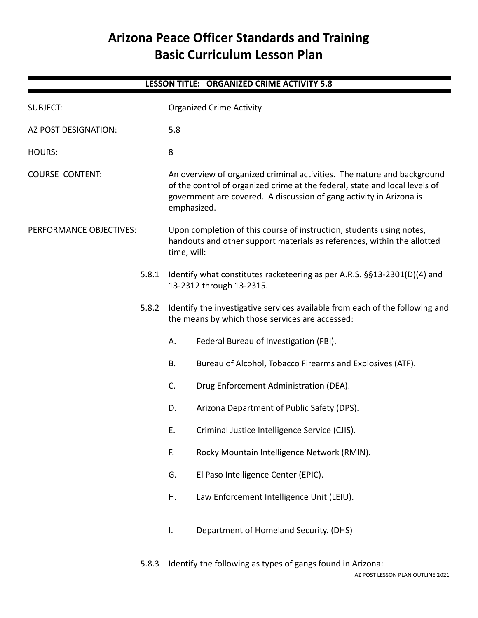# **Arizona Peace Officer Standards and Training Basic Curriculum Lesson Plan**

| <b>LESSON TITLE: ORGANIZED CRIME ACTIVITY 5.8</b> |       |                                                                                                                                                                                                                                              |                                                                                                      |  |  |  |
|---------------------------------------------------|-------|----------------------------------------------------------------------------------------------------------------------------------------------------------------------------------------------------------------------------------------------|------------------------------------------------------------------------------------------------------|--|--|--|
| <b>SUBJECT:</b>                                   |       |                                                                                                                                                                                                                                              | <b>Organized Crime Activity</b>                                                                      |  |  |  |
| AZ POST DESIGNATION:                              |       | 5.8                                                                                                                                                                                                                                          |                                                                                                      |  |  |  |
| <b>HOURS:</b>                                     |       | 8                                                                                                                                                                                                                                            |                                                                                                      |  |  |  |
| <b>COURSE CONTENT:</b>                            |       | An overview of organized criminal activities. The nature and background<br>of the control of organized crime at the federal, state and local levels of<br>government are covered. A discussion of gang activity in Arizona is<br>emphasized. |                                                                                                      |  |  |  |
| PERFORMANCE OBJECTIVES:                           |       | Upon completion of this course of instruction, students using notes,<br>handouts and other support materials as references, within the allotted<br>time, will:                                                                               |                                                                                                      |  |  |  |
| 5.8.1                                             |       |                                                                                                                                                                                                                                              | Identify what constitutes racketeering as per A.R.S. §§13-2301(D)(4) and<br>13-2312 through 13-2315. |  |  |  |
|                                                   | 5.8.2 | Identify the investigative services available from each of the following and<br>the means by which those services are accessed:                                                                                                              |                                                                                                      |  |  |  |
|                                                   |       | А.                                                                                                                                                                                                                                           | Federal Bureau of Investigation (FBI).                                                               |  |  |  |
|                                                   |       | <b>B.</b>                                                                                                                                                                                                                                    | Bureau of Alcohol, Tobacco Firearms and Explosives (ATF).                                            |  |  |  |
|                                                   |       | C.                                                                                                                                                                                                                                           | Drug Enforcement Administration (DEA).                                                               |  |  |  |
|                                                   |       | D.                                                                                                                                                                                                                                           | Arizona Department of Public Safety (DPS).                                                           |  |  |  |
|                                                   |       | Ε.                                                                                                                                                                                                                                           | Criminal Justice Intelligence Service (CJIS).                                                        |  |  |  |
|                                                   |       | F.                                                                                                                                                                                                                                           | Rocky Mountain Intelligence Network (RMIN).                                                          |  |  |  |
|                                                   |       | G.                                                                                                                                                                                                                                           | El Paso Intelligence Center (EPIC).                                                                  |  |  |  |
|                                                   |       | Η.                                                                                                                                                                                                                                           | Law Enforcement Intelligence Unit (LEIU).                                                            |  |  |  |
|                                                   |       | Ι.                                                                                                                                                                                                                                           | Department of Homeland Security. (DHS)                                                               |  |  |  |
|                                                   |       |                                                                                                                                                                                                                                              |                                                                                                      |  |  |  |

5.8.3 Identify the following as types of gangs found in Arizona: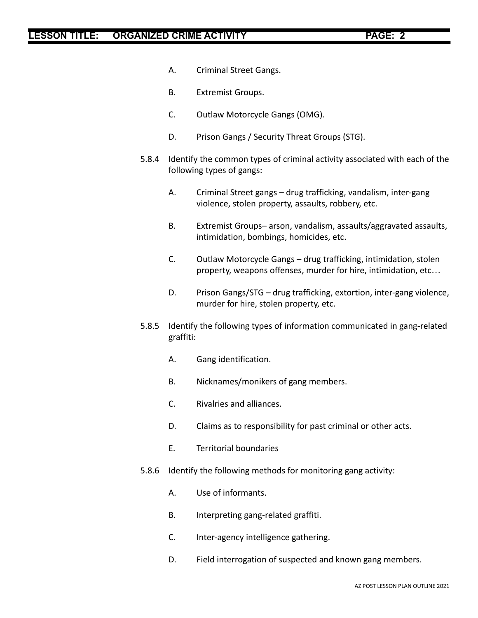- A. Criminal Street Gangs.
- B. Extremist Groups.
- C. Outlaw Motorcycle Gangs (OMG).
- D. Prison Gangs / Security Threat Groups (STG).
- 5.8.4 Identify the common types of criminal activity associated with each of the following types of gangs:
	- A. Criminal Street gangs drug trafficking, vandalism, inter-gang violence, stolen property, assaults, robbery, etc.
	- B. Extremist Groups– arson, vandalism, assaults/aggravated assaults, intimidation, bombings, homicides, etc.
	- C. Outlaw Motorcycle Gangs drug trafficking, intimidation, stolen property, weapons offenses, murder for hire, intimidation, etc…
	- D. Prison Gangs/STG drug trafficking, extortion, inter-gang violence, murder for hire, stolen property, etc.
- 5.8.5 Identify the following types of information communicated in gang-related graffiti:
	- A. Gang identification.
	- B. Nicknames/monikers of gang members.
	- C. Rivalries and alliances.
	- D. Claims as to responsibility for past criminal or other acts.
	- E. Territorial boundaries
- 5.8.6 Identify the following methods for monitoring gang activity:
	- A. Use of informants.
	- B. Interpreting gang-related graffiti.
	- C. Inter-agency intelligence gathering.
	- D. Field interrogation of suspected and known gang members.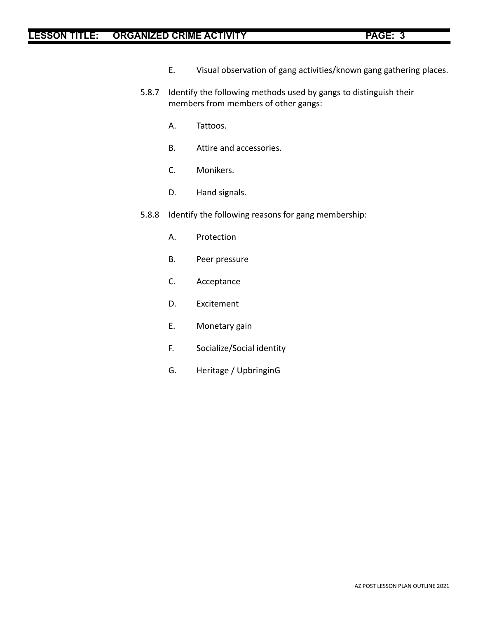- E. Visual observation of gang activities/known gang gathering places.
- 5.8.7 Identify the following methods used by gangs to distinguish their members from members of other gangs:
	- A. Tattoos.
	- B. Attire and accessories.
	- C. Monikers.
	- D. Hand signals.
- 5.8.8 Identify the following reasons for gang membership:
	- A. Protection
	- B. Peer pressure
	- C. Acceptance
	- D. Excitement
	- E. Monetary gain
	- F. Socialize/Social identity
	- G. Heritage / UpbringinG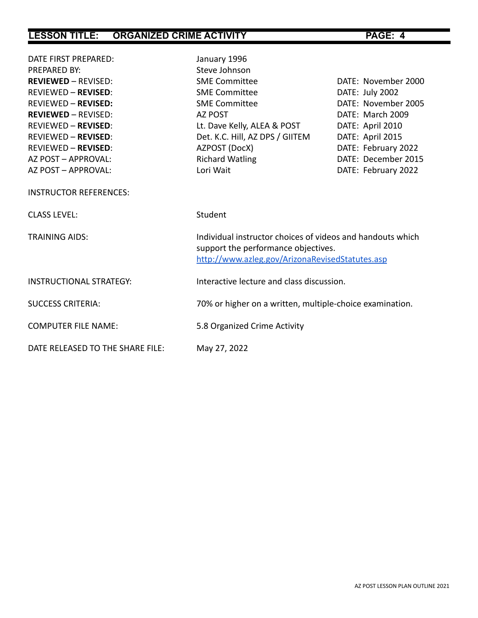| DATE FIRST PREPARED:             | January 1996                                                                                                                                         |                     |
|----------------------------------|------------------------------------------------------------------------------------------------------------------------------------------------------|---------------------|
| <b>PREPARED BY:</b>              | Steve Johnson                                                                                                                                        |                     |
| <b>REVIEWED - REVISED:</b>       | <b>SME Committee</b>                                                                                                                                 | DATE: November 2000 |
| <b>REVIEWED - REVISED:</b>       | <b>SME Committee</b>                                                                                                                                 | DATE: July 2002     |
| <b>REVIEWED - REVISED:</b>       | <b>SME Committee</b>                                                                                                                                 | DATE: November 2005 |
| <b>REVIEWED - REVISED:</b>       | AZ POST                                                                                                                                              | DATE: March 2009    |
| <b>REVIEWED - REVISED:</b>       | Lt. Dave Kelly, ALEA & POST                                                                                                                          | DATE: April 2010    |
| <b>REVIEWED - REVISED:</b>       | Det. K.C. Hill, AZ DPS / GIITEM                                                                                                                      | DATE: April 2015    |
| <b>REVIEWED - REVISED:</b>       | AZPOST (DocX)                                                                                                                                        | DATE: February 2022 |
| AZ POST - APPROVAL:              | <b>Richard Watling</b>                                                                                                                               | DATE: December 2015 |
| AZ POST - APPROVAL:              | Lori Wait                                                                                                                                            | DATE: February 2022 |
| <b>INSTRUCTOR REFERENCES:</b>    |                                                                                                                                                      |                     |
| <b>CLASS LEVEL:</b>              | Student                                                                                                                                              |                     |
| <b>TRAINING AIDS:</b>            | Individual instructor choices of videos and handouts which<br>support the performance objectives.<br>http://www.azleg.gov/ArizonaRevisedStatutes.asp |                     |
| <b>INSTRUCTIONAL STRATEGY:</b>   | Interactive lecture and class discussion.                                                                                                            |                     |
| <b>SUCCESS CRITERIA:</b>         | 70% or higher on a written, multiple-choice examination.                                                                                             |                     |
| <b>COMPUTER FILE NAME:</b>       | 5.8 Organized Crime Activity                                                                                                                         |                     |
| DATE RELEASED TO THE SHARE FILE: | May 27, 2022                                                                                                                                         |                     |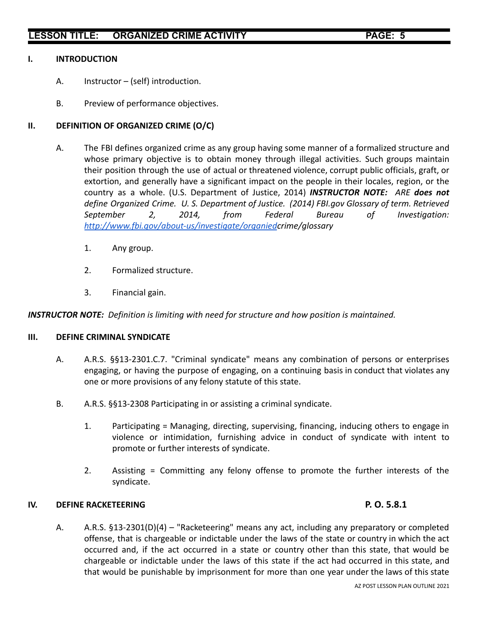### **I. INTRODUCTION**

- A. Instructor (self) introduction.
- B. Preview of performance objectives.

### **II. DEFINITION OF ORGANIZED CRIME (O/C)**

- A. The FBI defines organized crime as any group having some manner of a formalized structure and whose primary objective is to obtain money through illegal activities. Such groups maintain their position through the use of actual or threatened violence, corrupt public officials, graft, or extortion, and generally have a significant impact on the people in their locales, region, or the country as a whole. (U.S. Department of Justice, 2014) *INSTRUCTOR NOTE: ARE does not define Organized Crime. U. S. Department of Justice. (2014) FBI.gov Glossary of term. Retrieved September 2, 2014, from Federal Bureau of Investigation: <http://www.fbi.gov/about-us/investigate/organied>crime/glossary*
	- 1. Any group.
	- 2. Formalized structure.
	- 3. Financial gain.

*INSTRUCTOR NOTE: Definition is limiting with need for structure and how position is maintained.*

### **III. DEFINE CRIMINAL SYNDICATE**

- A. A.R.S. §§13-2301.C.7. "Criminal syndicate" means any combination of persons or enterprises engaging, or having the purpose of engaging, on a continuing basis in conduct that violates any one or more provisions of any felony statute of this state.
- B. A.R.S. §§13-2308 Participating in or assisting a criminal syndicate.
	- 1. Participating = Managing, directing, supervising, financing, inducing others to engage in violence or intimidation, furnishing advice in conduct of syndicate with intent to promote or further interests of syndicate.
	- 2. Assisting = Committing any felony offense to promote the further interests of the syndicate.

### **IV. DEFINE RACKETEERING P. O. 5.8.1**

A. A.R.S. §13-2301(D)(4) – "Racketeering" means any act, including any preparatory or completed offense, that is chargeable or indictable under the laws of the state or country in which the act occurred and, if the act occurred in a state or country other than this state, that would be chargeable or indictable under the laws of this state if the act had occurred in this state, and that would be punishable by imprisonment for more than one year under the laws of this state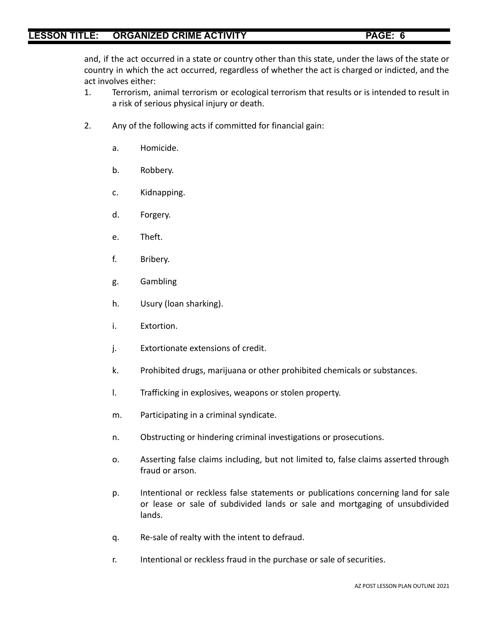and, if the act occurred in a state or country other than this state, under the laws of the state or country in which the act occurred, regardless of whether the act is charged or indicted, and the act involves either:

- 1. Terrorism, animal terrorism or ecological terrorism that results or is intended to result in a risk of serious physical injury or death.
- 2. Any of the following acts if committed for financial gain:
	- a. Homicide.
	- b. Robbery.
	- c. Kidnapping.
	- d. Forgery.
	- e. Theft.
	- f. Bribery.
	- g. Gambling
	- h. Usury (loan sharking).
	- i. Extortion.
	- j. Extortionate extensions of credit.
	- k. Prohibited drugs, marijuana or other prohibited chemicals or substances.
	- l. Trafficking in explosives, weapons or stolen property.
	- m. Participating in a criminal syndicate.
	- n. Obstructing or hindering criminal investigations or prosecutions.
	- o. Asserting false claims including, but not limited to, false claims asserted through fraud or arson.
	- p. Intentional or reckless false statements or publications concerning land for sale or lease or sale of subdivided lands or sale and mortgaging of unsubdivided lands.
	- q. Re-sale of realty with the intent to defraud.
	- r. Intentional or reckless fraud in the purchase or sale of securities.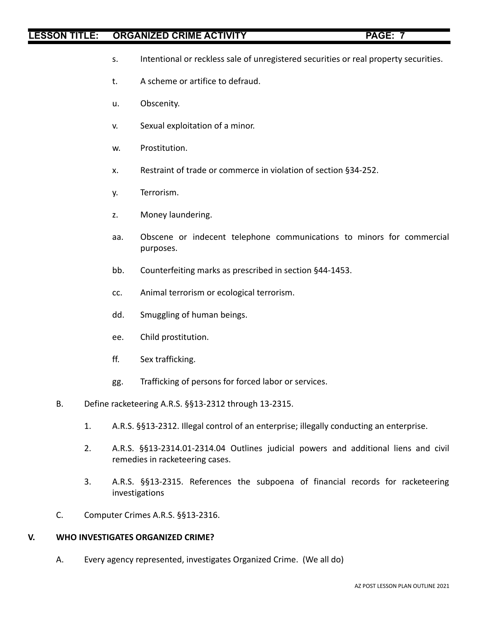- s. Intentional or reckless sale of unregistered securities or real property securities.
- t. A scheme or artifice to defraud.
- u. Obscenity.
- v. Sexual exploitation of a minor.
- w. Prostitution.
- x. Restraint of trade or commerce in violation of section §34-252.
- y. Terrorism.
- z. Money laundering.
- aa. Obscene or indecent telephone communications to minors for commercial purposes.
- bb. Counterfeiting marks as prescribed in section §44-1453.
- cc. Animal terrorism or ecological terrorism.
- dd. Smuggling of human beings.
- ee. Child prostitution.
- ff. Sex trafficking.
- gg. Trafficking of persons for forced labor or services.
- B. Define racketeering A.R.S. §§13-2312 through 13-2315.
	- 1. A.R.S. §§13-2312. Illegal control of an enterprise; illegally conducting an enterprise.
	- 2. A.R.S. §§13-2314.01-2314.04 Outlines judicial powers and additional liens and civil remedies in racketeering cases.
	- 3. A.R.S. §§13-2315. References the subpoena of financial records for racketeering investigations
- C. Computer Crimes A.R.S. §§13-2316.

## **V. WHO INVESTIGATES ORGANIZED CRIME?**

A. Every agency represented, investigates Organized Crime. (We all do)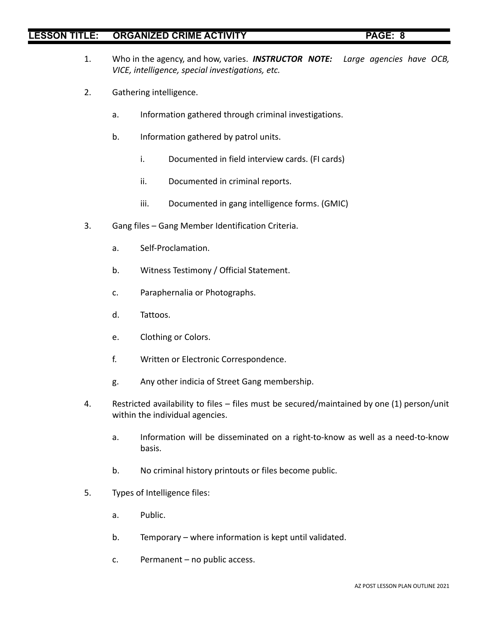- 1. Who in the agency, and how, varies. *INSTRUCTOR NOTE: Large agencies have OCB, VICE, intelligence, special investigations, etc.*
- 2. Gathering intelligence.
	- a. Information gathered through criminal investigations.
	- b. Information gathered by patrol units.
		- i. Documented in field interview cards. (FI cards)
		- ii. Documented in criminal reports.
		- iii. Documented in gang intelligence forms. (GMIC)
- 3. Gang files Gang Member Identification Criteria.
	- a. Self-Proclamation.
	- b. Witness Testimony / Official Statement.
	- c. Paraphernalia or Photographs.
	- d. Tattoos.
	- e. Clothing or Colors.
	- f. Written or Electronic Correspondence.
	- g. Any other indicia of Street Gang membership.
- 4. Restricted availability to files files must be secured/maintained by one (1) person/unit within the individual agencies.
	- a. Information will be disseminated on a right-to-know as well as a need-to-know basis.
	- b. No criminal history printouts or files become public.
- 5. Types of Intelligence files:
	- a. Public.
	- b. Temporary where information is kept until validated.
	- c. Permanent no public access.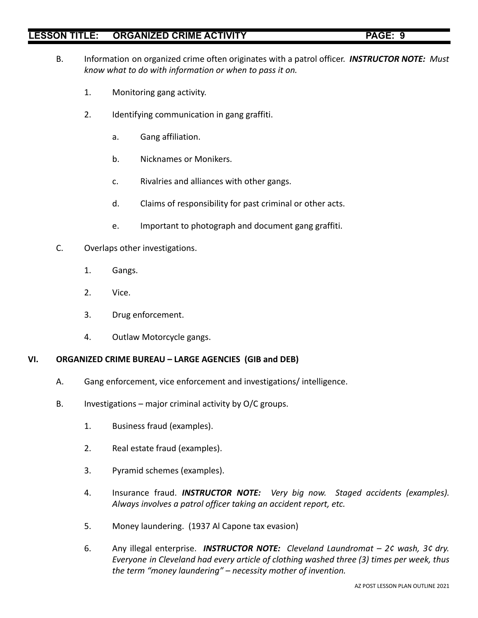- 
- B. Information on organized crime often originates with a patrol officer. *INSTRUCTOR NOTE: Must know what to do with information or when to pass it on.*
	- 1. Monitoring gang activity.
	- 2. Identifying communication in gang graffiti.
		- a. Gang affiliation.
		- b. Nicknames or Monikers.
		- c. Rivalries and alliances with other gangs.
		- d. Claims of responsibility for past criminal or other acts.
		- e. Important to photograph and document gang graffiti.
- C. Overlaps other investigations.
	- 1. Gangs.
	- 2. Vice.
	- 3. Drug enforcement.
	- 4. Outlaw Motorcycle gangs.

## **VI. ORGANIZED CRIME BUREAU – LARGE AGENCIES (GIB and DEB)**

- A. Gang enforcement, vice enforcement and investigations/ intelligence.
- B. Investigations major criminal activity by  $O/C$  groups.
	- 1. Business fraud (examples).
	- 2. Real estate fraud (examples).
	- 3. Pyramid schemes (examples).
	- 4. Insurance fraud. *INSTRUCTOR NOTE: Very big now. Staged accidents (examples). Always involves a patrol officer taking an accident report, etc.*
	- 5. Money laundering. (1937 Al Capone tax evasion)
	- 6. Any illegal enterprise. *INSTRUCTOR NOTE: Cleveland Laundromat – 2¢ wash, 3¢ dry. Everyone in Cleveland had every article of clothing washed three (3) times per week, thus the term "money laundering" – necessity mother of invention.*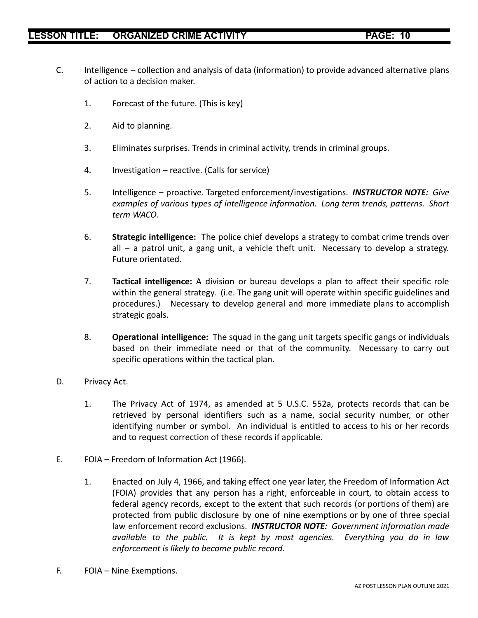- C. Intelligence collection and analysis of data (information) to provide advanced alternative plans of action to a decision maker.
	- 1. Forecast of the future. (This is key)
	- 2. Aid to planning.
	- 3. Eliminates surprises. Trends in criminal activity, trends in criminal groups.
	- 4. Investigation reactive. (Calls for service)
	- 5. Intelligence proactive. Targeted enforcement/investigations. *INSTRUCTOR NOTE: Give examples of various types of intelligence information. Long term trends, patterns. Short term WACO.*
	- 6. **Strategic intelligence:** The police chief develops a strategy to combat crime trends over all – a patrol unit, a gang unit, a vehicle theft unit. Necessary to develop a strategy. Future orientated.
	- 7. **Tactical intelligence:** A division or bureau develops a plan to affect their specific role within the general strategy. (i.e. The gang unit will operate within specific guidelines and procedures.) Necessary to develop general and more immediate plans to accomplish strategic goals.
	- 8. **Operational intelligence:** The squad in the gang unit targets specific gangs or individuals based on their immediate need or that of the community. Necessary to carry out specific operations within the tactical plan.
- D. Privacy Act.
	- 1. The Privacy Act of 1974, as amended at 5 U.S.C. 552a, protects records that can be retrieved by personal identifiers such as a name, social security number, or other identifying number or symbol. An individual is entitled to access to his or her records and to request correction of these records if applicable.
- E. FOIA Freedom of Information Act (1966).
	- 1. Enacted on July 4, 1966, and taking effect one year later, the Freedom of Information Act (FOIA) provides that any person has a right, enforceable in court, to obtain access to federal agency records, except to the extent that such records (or portions of them) are protected from public disclosure by one of nine exemptions or by one of three special law enforcement record exclusions. *INSTRUCTOR NOTE: Government information made available to the public. It is kept by most agencies. Everything you do in law enforcement is likely to become public record.*
- F. FOIA Nine Exemptions.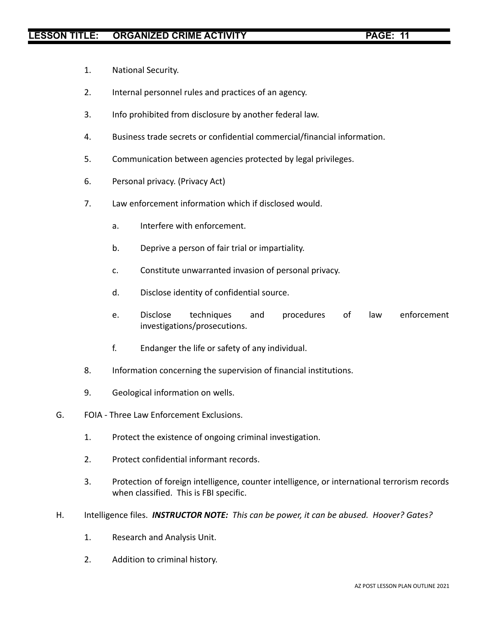- 1. National Security.
- 2. Internal personnel rules and practices of an agency.
- 3. Info prohibited from disclosure by another federal law.
- 4. Business trade secrets or confidential commercial/financial information.
- 5. Communication between agencies protected by legal privileges.
- 6. Personal privacy. (Privacy Act)
- 7. Law enforcement information which if disclosed would.
	- a. Interfere with enforcement.
	- b. Deprive a person of fair trial or impartiality.
	- c. Constitute unwarranted invasion of personal privacy.
	- d. Disclose identity of confidential source.
	- e. Disclose techniques and procedures of law enforcement investigations/prosecutions.
	- f. Endanger the life or safety of any individual.
- 8. Information concerning the supervision of financial institutions.
- 9. Geological information on wells.
- G. FOIA Three Law Enforcement Exclusions.
	- 1. Protect the existence of ongoing criminal investigation.
	- 2. Protect confidential informant records.
	- 3. Protection of foreign intelligence, counter intelligence, or international terrorism records when classified. This is FBI specific.
- H. Intelligence files. *INSTRUCTOR NOTE: This can be power, it can be abused. Hoover? Gates?*
	- 1. Research and Analysis Unit.
	- 2. Addition to criminal history.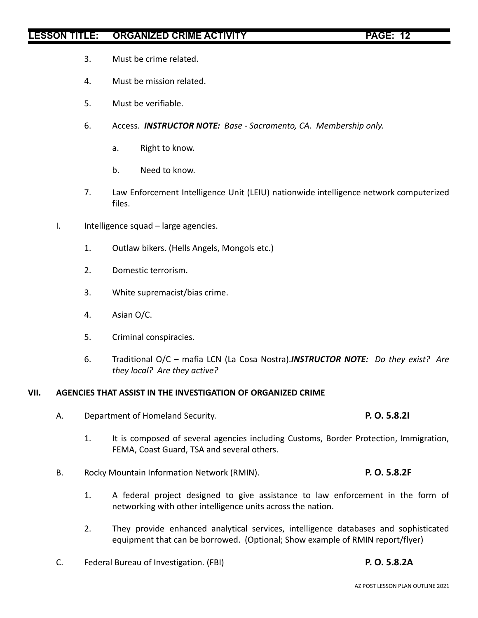- 3. Must be crime related.
- 4. Must be mission related.
- 5. Must be verifiable.
- 6. Access. *INSTRUCTOR NOTE: Base Sacramento, CA. Membership only.*
	- a. Right to know.
	- b. Need to know.
- 7. Law Enforcement Intelligence Unit (LEIU) nationwide intelligence network computerized files.
- I. Intelligence squad large agencies.
	- 1. Outlaw bikers. (Hells Angels, Mongols etc.)
	- 2. Domestic terrorism.
	- 3. White supremacist/bias crime.
	- 4. Asian O/C.
	- 5. Criminal conspiracies.
	- 6. Traditional O/C mafia LCN (La Cosa Nostra).*INSTRUCTOR NOTE: Do they exist? Are they local? Are they active?*

### **VII. AGENCIES THAT ASSIST IN THE INVESTIGATION OF ORGANIZED CRIME**

- A. Department of Homeland Security. **P. O. 5.8.2I**
	- 1. It is composed of several agencies including Customs, Border Protection, Immigration, FEMA, Coast Guard, TSA and several others.
- B. Rocky Mountain Information Network (RMIN). **P. O. 5.8.2F**
	- 1. A federal project designed to give assistance to law enforcement in the form of networking with other intelligence units across the nation.
	- 2. They provide enhanced analytical services, intelligence databases and sophisticated equipment that can be borrowed. (Optional; Show example of RMIN report/flyer)
- C. Federal Bureau of Investigation. (FBI) **P. O. 5.8.2A**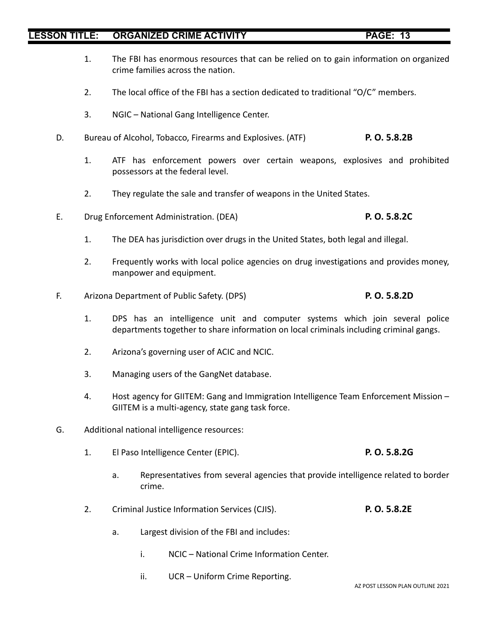- 1. The FBI has enormous resources that can be relied on to gain information on organized crime families across the nation.
- 2. The local office of the FBI has a section dedicated to traditional "O/C" members.
- 3. NGIC National Gang Intelligence Center.
- D. Bureau of Alcohol, Tobacco, Firearms and Explosives. (ATF) **P. O. 5.8.2B**
	- 1. ATF has enforcement powers over certain weapons, explosives and prohibited possessors at the federal level.
	- 2. They regulate the sale and transfer of weapons in the United States.
- E. Drug Enforcement Administration. (DEA) **P. O. 5.8.2C**
	- 1. The DEA has jurisdiction over drugs in the United States, both legal and illegal.
	- 2. Frequently works with local police agencies on drug investigations and provides money, manpower and equipment.
- F. Arizona Department of Public Safety. (DPS) **P. O. 5.8.2D**
	- 1. DPS has an intelligence unit and computer systems which join several police departments together to share information on local criminals including criminal gangs.
	- 2. Arizona's governing user of ACIC and NCIC.
	- 3. Managing users of the GangNet database.
	- 4. Host agency for GIITEM: Gang and Immigration Intelligence Team Enforcement Mission GIITEM is a multi-agency, state gang task force.
- G. Additional national intelligence resources:
	- 1. El Paso Intelligence Center (EPIC). **P. O. 5.8.2G**
		- a. Representatives from several agencies that provide intelligence related to border crime.
	- 2. Criminal Justice Information Services (CJIS). **P. O. 5.8.2E**
		- a. Largest division of the FBI and includes:
			- i. NCIC National Crime Information Center.
			- ii. UCR Uniform Crime Reporting.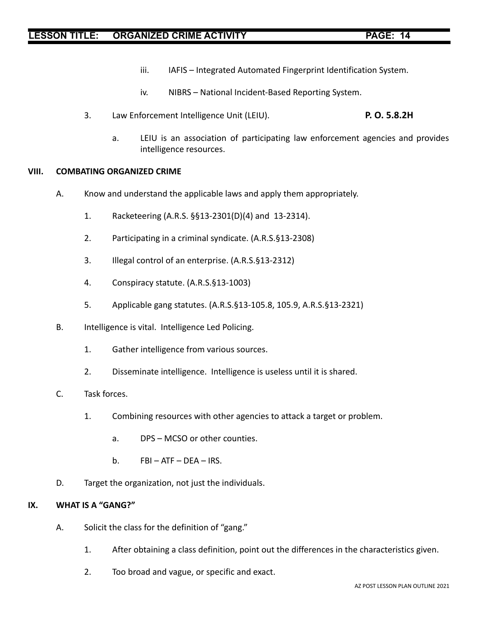- iii. IAFIS Integrated Automated Fingerprint Identification System.
- iv. NIBRS National Incident-Based Reporting System.
- 3. Law Enforcement Intelligence Unit (LEIU). **P. O. 5.8.2H**
	- a. LEIU is an association of participating law enforcement agencies and provides intelligence resources.

### **VIII. COMBATING ORGANIZED CRIME**

- A. Know and understand the applicable laws and apply them appropriately.
	- 1. Racketeering (A.R.S. §§13-2301(D)(4) and 13-2314).
	- 2. Participating in a criminal syndicate. (A.R.S.§13-2308)
	- 3. Illegal control of an enterprise. (A.R.S.§13-2312)
	- 4. Conspiracy statute. (A.R.S.§13-1003)
	- 5. Applicable gang statutes. (A.R.S.§13-105.8, 105.9, A.R.S.§13-2321)
- B. Intelligence is vital. Intelligence Led Policing.
	- 1. Gather intelligence from various sources.
	- 2. Disseminate intelligence. Intelligence is useless until it is shared.
- C. Task forces.
	- 1. Combining resources with other agencies to attack a target or problem.
		- a. DPS MCSO or other counties.
		- b.  $FBI ATF DEA IRS$ .
- D. Target the organization, not just the individuals.

### **IX. WHAT IS A "GANG?"**

- A. Solicit the class for the definition of "gang."
	- 1. After obtaining a class definition, point out the differences in the characteristics given.
	- 2. Too broad and vague, or specific and exact.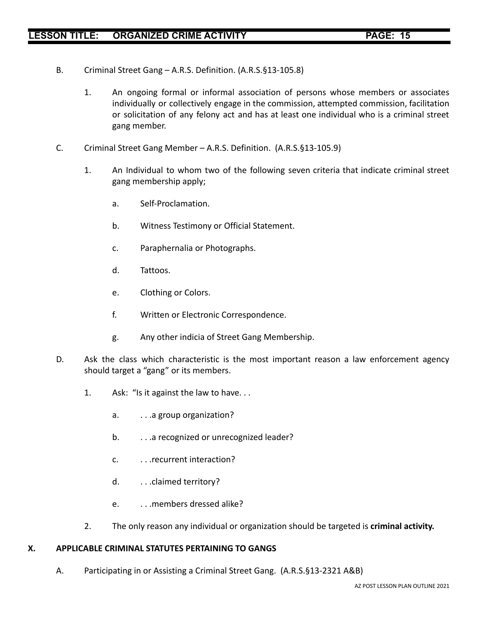- B. Criminal Street Gang A.R.S. Definition. (A.R.S.§13-105.8)
	- 1. An ongoing formal or informal association of persons whose members or associates individually or collectively engage in the commission, attempted commission, facilitation or solicitation of any felony act and has at least one individual who is a criminal street gang member.
- C. Criminal Street Gang Member A.R.S. Definition. (A.R.S.§13-105.9)
	- 1. An Individual to whom two of the following seven criteria that indicate criminal street gang membership apply;
		- a. Self-Proclamation.
		- b. Witness Testimony or Official Statement.
		- c. Paraphernalia or Photographs.
		- d. Tattoos.
		- e. Clothing or Colors.
		- f. Written or Electronic Correspondence.
		- g. Any other indicia of Street Gang Membership.
- D. Ask the class which characteristic is the most important reason a law enforcement agency should target a "gang" or its members.
	- 1. Ask: "Is it against the law to have. . .
		- a. ..a group organization?
		- b. . . . . . a recognized or unrecognized leader?
		- c. . . .recurrent interaction?
		- d. ...claimed territory?
		- e. . . .members dressed alike?
	- 2. The only reason any individual or organization should be targeted is **criminal activity.**

### **X. APPLICABLE CRIMINAL STATUTES PERTAINING TO GANGS**

A. Participating in or Assisting a Criminal Street Gang. (A.R.S.§13-2321 A&B)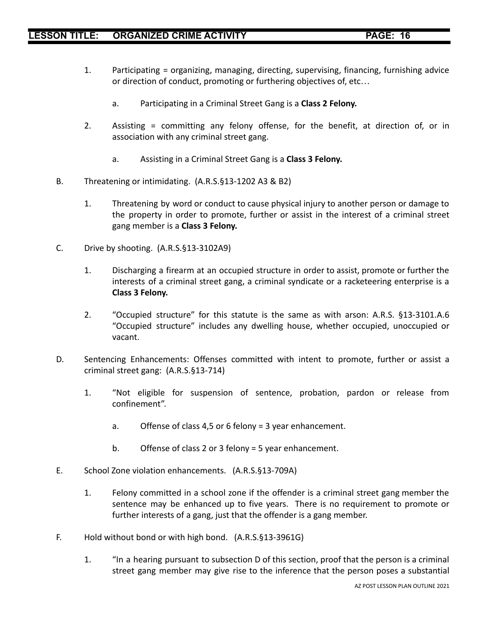- 1. Participating = organizing, managing, directing, supervising, financing, furnishing advice or direction of conduct, promoting or furthering objectives of, etc…
	- a. Participating in a Criminal Street Gang is a **Class 2 Felony.**
- 2. Assisting = committing any felony offense, for the benefit, at direction of, or in association with any criminal street gang.
	- a. Assisting in a Criminal Street Gang is a **Class 3 Felony.**
- B. Threatening or intimidating. (A.R.S.§13-1202 A3 & B2)
	- 1. Threatening by word or conduct to cause physical injury to another person or damage to the property in order to promote, further or assist in the interest of a criminal street gang member is a **Class 3 Felony.**
- C. Drive by shooting. (A.R.S.§13-3102A9)
	- 1. Discharging a firearm at an occupied structure in order to assist, promote or further the interests of a criminal street gang, a criminal syndicate or a racketeering enterprise is a **Class 3 Felony.**
	- 2. "Occupied structure" for this statute is the same as with arson: A.R.S. §13-3101.A.6 "Occupied structure" includes any dwelling house, whether occupied, unoccupied or vacant.
- D. Sentencing Enhancements: Offenses committed with intent to promote, further or assist a criminal street gang: (A.R.S.§13-714)
	- 1. "Not eligible for suspension of sentence, probation, pardon or release from confinement".
		- a. Offense of class 4,5 or 6 felony = 3 year enhancement.
		- b. Offense of class 2 or 3 felony = 5 year enhancement.
- E. School Zone violation enhancements. (A.R.S.§13-709A)
	- 1. Felony committed in a school zone if the offender is a criminal street gang member the sentence may be enhanced up to five years. There is no requirement to promote or further interests of a gang, just that the offender is a gang member.
- F. Hold without bond or with high bond. (A.R.S.§13-3961G)
	- 1. "In a hearing pursuant to subsection D of this section, proof that the person is a criminal street gang member may give rise to the inference that the person poses a substantial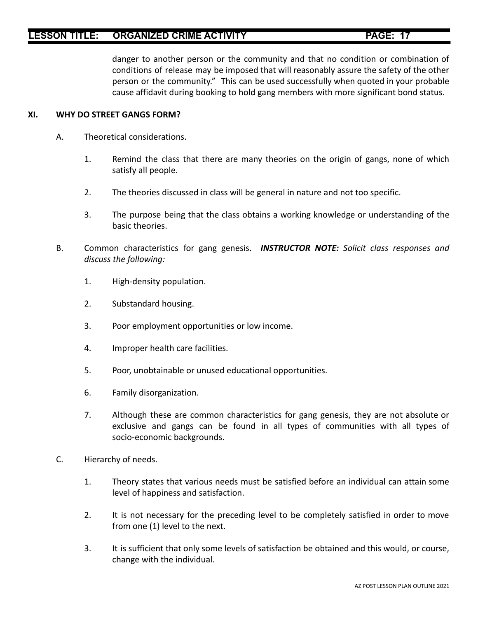danger to another person or the community and that no condition or combination of conditions of release may be imposed that will reasonably assure the safety of the other person or the community." This can be used successfully when quoted in your probable cause affidavit during booking to hold gang members with more significant bond status.

### **XI. WHY DO STREET GANGS FORM?**

- A. Theoretical considerations.
	- 1. Remind the class that there are many theories on the origin of gangs, none of which satisfy all people.
	- 2. The theories discussed in class will be general in nature and not too specific.
	- 3. The purpose being that the class obtains a working knowledge or understanding of the basic theories.
- B. Common characteristics for gang genesis. *INSTRUCTOR NOTE: Solicit class responses and discuss the following:*
	- 1. High-density population.
	- 2. Substandard housing.
	- 3. Poor employment opportunities or low income.
	- 4. Improper health care facilities.
	- 5. Poor, unobtainable or unused educational opportunities.
	- 6. Family disorganization.
	- 7. Although these are common characteristics for gang genesis, they are not absolute or exclusive and gangs can be found in all types of communities with all types of socio-economic backgrounds.
- C. Hierarchy of needs.
	- 1. Theory states that various needs must be satisfied before an individual can attain some level of happiness and satisfaction.
	- 2. It is not necessary for the preceding level to be completely satisfied in order to move from one (1) level to the next.
	- 3. It is sufficient that only some levels of satisfaction be obtained and this would, or course, change with the individual.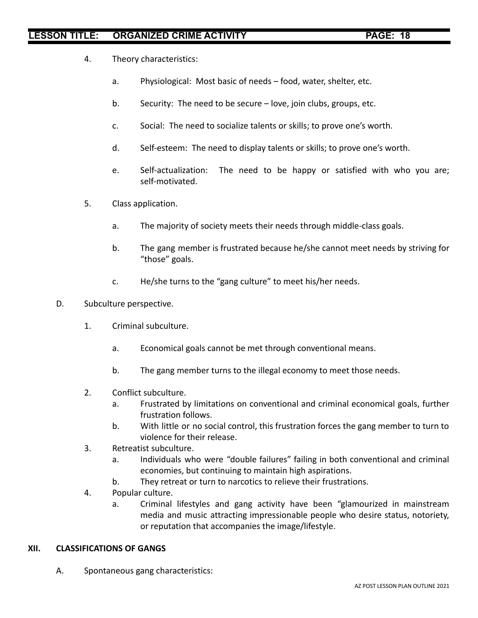- 4. Theory characteristics:
	- a. Physiological: Most basic of needs food, water, shelter, etc.
	- b. Security: The need to be secure love, join clubs, groups, etc.
	- c. Social: The need to socialize talents or skills; to prove one's worth.
	- d. Self-esteem: The need to display talents or skills; to prove one's worth.
	- e. Self-actualization: The need to be happy or satisfied with who you are; self-motivated.
- 5. Class application.
	- a. The majority of society meets their needs through middle-class goals.
	- b. The gang member is frustrated because he/she cannot meet needs by striving for "those" goals.
	- c. He/she turns to the "gang culture" to meet his/her needs.
- D. Subculture perspective.
	- 1. Criminal subculture.
		- a. Economical goals cannot be met through conventional means.
		- b. The gang member turns to the illegal economy to meet those needs.
	- 2. Conflict subculture.
		- a. Frustrated by limitations on conventional and criminal economical goals, further frustration follows.
		- b. With little or no social control, this frustration forces the gang member to turn to violence for their release.
	- 3. Retreatist subculture.
		- a. Individuals who were "double failures" failing in both conventional and criminal economies, but continuing to maintain high aspirations.
		- b. They retreat or turn to narcotics to relieve their frustrations.
	- 4. Popular culture.
		- a. Criminal lifestyles and gang activity have been "glamourized in mainstream media and music attracting impressionable people who desire status, notoriety, or reputation that accompanies the image/lifestyle.

### **XII. CLASSIFICATIONS OF GANGS**

A. Spontaneous gang characteristics: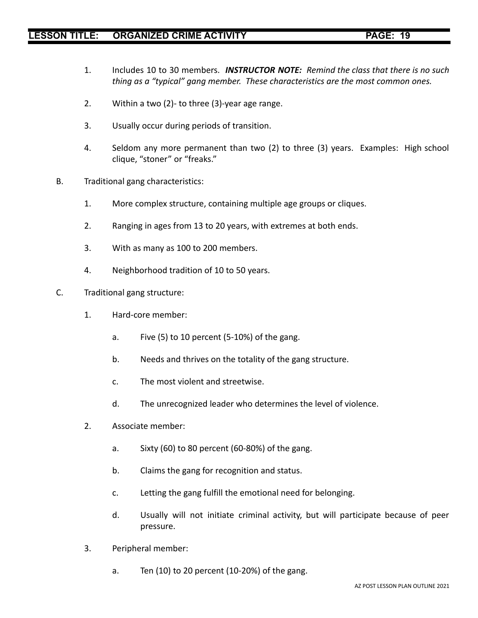- 1. Includes 10 to 30 members. *INSTRUCTOR NOTE: Remind the class that there is no such thing as a "typical" gang member. These characteristics are the most common ones.*
- 2. Within a two (2)- to three (3)-year age range.
- 3. Usually occur during periods of transition.
- 4. Seldom any more permanent than two (2) to three (3) years. Examples: High school clique, "stoner" or "freaks."
- B. Traditional gang characteristics:
	- 1. More complex structure, containing multiple age groups or cliques.
	- 2. Ranging in ages from 13 to 20 years, with extremes at both ends.
	- 3. With as many as 100 to 200 members.
	- 4. Neighborhood tradition of 10 to 50 years.
- C. Traditional gang structure:
	- 1. Hard-core member:
		- a. Five (5) to 10 percent (5-10%) of the gang.
		- b. Needs and thrives on the totality of the gang structure.
		- c. The most violent and streetwise.
		- d. The unrecognized leader who determines the level of violence.
	- 2. Associate member:
		- a. Sixty (60) to 80 percent (60-80%) of the gang.
		- b. Claims the gang for recognition and status.
		- c. Letting the gang fulfill the emotional need for belonging.
		- d. Usually will not initiate criminal activity, but will participate because of peer pressure.
	- 3. Peripheral member:
		- a. Ten (10) to 20 percent (10-20%) of the gang.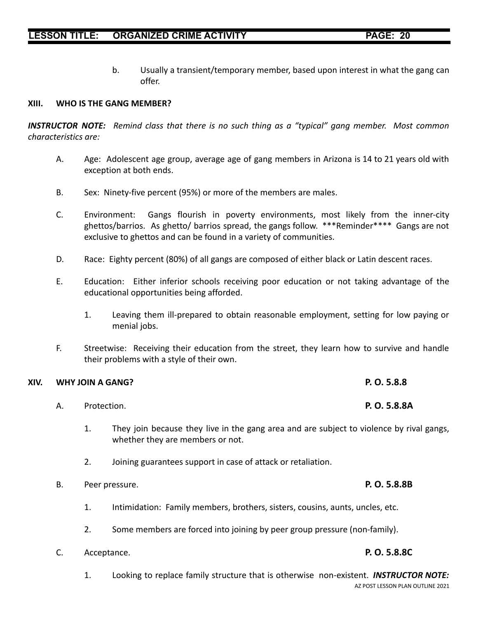b. Usually a transient/temporary member, based upon interest in what the gang can offer.

### **XIII. WHO IS THE GANG MEMBER?**

*INSTRUCTOR NOTE: Remind class that there is no such thing as a "typical" gang member. Most common characteristics are:*

- A. Age: Adolescent age group, average age of gang members in Arizona is 14 to 21 years old with exception at both ends.
- B. Sex: Ninety-five percent (95%) or more of the members are males.
- C. Environment: Gangs flourish in poverty environments, most likely from the inner-city ghettos/barrios. As ghetto/ barrios spread, the gangs follow. \*\*\*Reminder\*\*\*\* Gangs are not exclusive to ghettos and can be found in a variety of communities.
- D. Race: Eighty percent (80%) of all gangs are composed of either black or Latin descent races.
- E. Education: Either inferior schools receiving poor education or not taking advantage of the educational opportunities being afforded.
	- 1. Leaving them ill-prepared to obtain reasonable employment, setting for low paying or menial jobs.
- F. Streetwise: Receiving their education from the street, they learn how to survive and handle their problems with a style of their own.

## **XIV. WHY JOIN A GANG? P. O. 5.8.8**

- A. Protection. **P. O. 5.8.8A**
	- 1. They join because they live in the gang area and are subject to violence by rival gangs, whether they are members or not.
	- 2. Joining guarantees support in case of attack or retaliation.
- B. Peer pressure. **P. O. 5.8.8B**
	- 1. Intimidation: Family members, brothers, sisters, cousins, aunts, uncles, etc.
	- 2. Some members are forced into joining by peer group pressure (non-family).
- C. Acceptance. **P. O. 5.8.8C**
	- 1. Looking to replace family structure that is otherwise non-existent. *INSTRUCTOR NOTE:* AZ POST LESSON PLAN OUTLINE 2021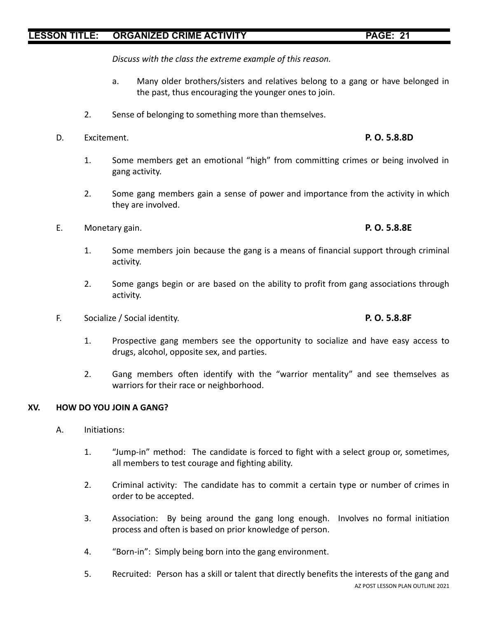*Discuss with the class the extreme example of this reason.*

- a. Many older brothers/sisters and relatives belong to a gang or have belonged in the past, thus encouraging the younger ones to join.
- 2. Sense of belonging to something more than themselves.
- D. Excitement. **P. O. 5.8.8D**
	- 1. Some members get an emotional "high" from committing crimes or being involved in gang activity.
	- 2. Some gang members gain a sense of power and importance from the activity in which they are involved.
- E. Monetary gain. **P. O. 5.8.8E**
	- 1. Some members join because the gang is a means of financial support through criminal activity.
	- 2. Some gangs begin or are based on the ability to profit from gang associations through activity.
- F. Socialize / Social identity. **P. O. 5.8.8F**
	- 1. Prospective gang members see the opportunity to socialize and have easy access to drugs, alcohol, opposite sex, and parties.
	- 2. Gang members often identify with the "warrior mentality" and see themselves as warriors for their race or neighborhood.

## **XV. HOW DO YOU JOIN A GANG?**

- A. Initiations:
	- 1. "Jump-in" method: The candidate is forced to fight with a select group or, sometimes, all members to test courage and fighting ability.
	- 2. Criminal activity: The candidate has to commit a certain type or number of crimes in order to be accepted.
	- 3. Association: By being around the gang long enough. Involves no formal initiation process and often is based on prior knowledge of person.
	- 4. "Born-in": Simply being born into the gang environment.
	- 5. Recruited: Person has a skill or talent that directly benefits the interests of the gang and AZ POST LESSON PLAN OUTLINE 2021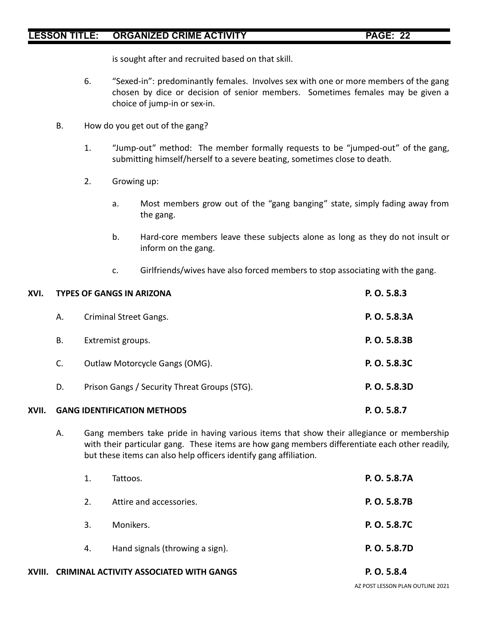is sought after and recruited based on that skill.

- 6. "Sexed-in": predominantly females. Involves sex with one or more members of the gang chosen by dice or decision of senior members. Sometimes females may be given a choice of jump-in or sex-in.
- B. How do you get out of the gang?
	- 1. "Jump-out" method: The member formally requests to be "jumped-out" of the gang, submitting himself/herself to a severe beating, sometimes close to death.
	- 2. Growing up:
		- a. Most members grow out of the "gang banging" state, simply fading away from the gang.
		- b. Hard-core members leave these subjects alone as long as they do not insult or inform on the gang.
		- c. Girlfriends/wives have also forced members to stop associating with the gang.

| XVI.  |    | <b>TYPES OF GANGS IN ARIZONA</b>             | P. O. 5.8.3  |
|-------|----|----------------------------------------------|--------------|
|       | А. | <b>Criminal Street Gangs.</b>                | P. O. 5.8.3A |
|       | В. | Extremist groups.                            | P. O. 5.8.3B |
|       | C. | Outlaw Motorcycle Gangs (OMG).               | P. O. 5.8.3C |
|       | D. | Prison Gangs / Security Threat Groups (STG). | P. O. 5.8.3D |
| XVII. |    | <b>GANG IDENTIFICATION METHODS</b>           | P. O. 5.8.7  |

A. Gang members take pride in having various items that show their allegiance or membership with their particular gang. These items are how gang members differentiate each other readily, but these items can also help officers identify gang affiliation.

| 1. | Tattoos.                        | P. O. 5.8.7A |
|----|---------------------------------|--------------|
| 2. | Attire and accessories.         | P. O. 5.8.7B |
| 3. | Monikers.                       | P. O. 5.8.7C |
| 4. | Hand signals (throwing a sign). | P. O. 5.8.7D |

**XVIII. CRIMINAL ACTIVITY ASSOCIATED WITH GANGS P. O. 5.8.4**

AZ POST LESSON PLAN OUTLINE 2021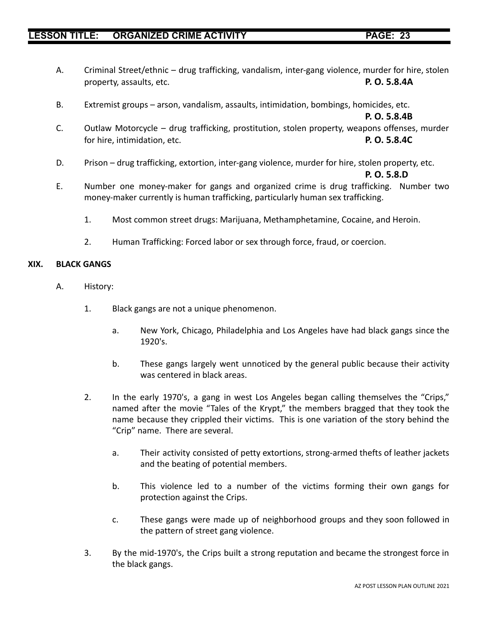- A. Criminal Street/ethnic drug trafficking, vandalism, inter-gang violence, murder for hire, stolen property, assaults, etc. **P. O. 5.8.4A**
- B. Extremist groups arson, vandalism, assaults, intimidation, bombings, homicides, etc.

**P. O. 5.8.4B**

- C. Outlaw Motorcycle drug trafficking, prostitution, stolen property, weapons offenses, murder for hire, intimidation, etc. **P. O. 5.8.4C**
- D. Prison drug trafficking, extortion, inter-gang violence, murder for hire, stolen property, etc.

### **P. O. 5.8.D**

- E. Number one money-maker for gangs and organized crime is drug trafficking. Number two money-maker currently is human trafficking, particularly human sex trafficking.
	- 1. Most common street drugs: Marijuana, Methamphetamine, Cocaine, and Heroin.
	- 2. Human Trafficking: Forced labor or sex through force, fraud, or coercion.

### **XIX. BLACK GANGS**

- A. History:
	- 1. Black gangs are not a unique phenomenon.
		- a. New York, Chicago, Philadelphia and Los Angeles have had black gangs since the 1920's.
		- b. These gangs largely went unnoticed by the general public because their activity was centered in black areas.
	- 2. In the early 1970's, a gang in west Los Angeles began calling themselves the "Crips," named after the movie "Tales of the Krypt," the members bragged that they took the name because they crippled their victims. This is one variation of the story behind the "Crip" name. There are several.
		- a. Their activity consisted of petty extortions, strong-armed thefts of leather jackets and the beating of potential members.
		- b. This violence led to a number of the victims forming their own gangs for protection against the Crips.
		- c. These gangs were made up of neighborhood groups and they soon followed in the pattern of street gang violence.
	- 3. By the mid-1970's, the Crips built a strong reputation and became the strongest force in the black gangs.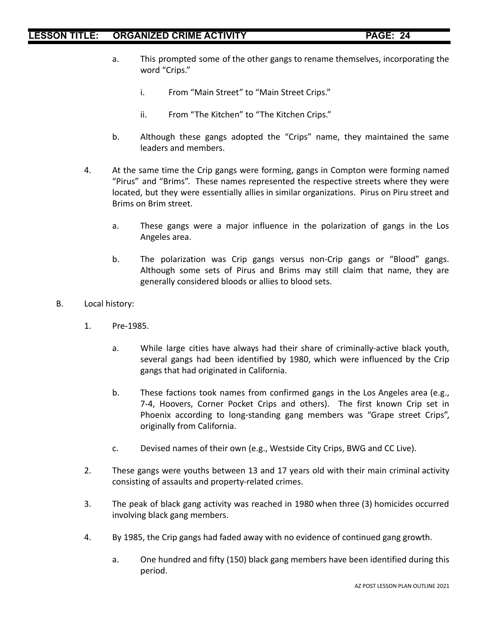- a. This prompted some of the other gangs to rename themselves, incorporating the word "Crips."
	- i. From "Main Street" to "Main Street Crips."
	- ii. From "The Kitchen" to "The Kitchen Crips."
- b. Although these gangs adopted the "Crips" name, they maintained the same leaders and members.
- 4. At the same time the Crip gangs were forming, gangs in Compton were forming named "Pirus" and "Brims". These names represented the respective streets where they were located, but they were essentially allies in similar organizations. Pirus on Piru street and Brims on Brim street.
	- a. These gangs were a major influence in the polarization of gangs in the Los Angeles area.
	- b. The polarization was Crip gangs versus non-Crip gangs or "Blood" gangs. Although some sets of Pirus and Brims may still claim that name, they are generally considered bloods or allies to blood sets.
- B. Local history:
	- 1. Pre-1985.
		- a. While large cities have always had their share of criminally-active black youth, several gangs had been identified by 1980, which were influenced by the Crip gangs that had originated in California.
		- b. These factions took names from confirmed gangs in the Los Angeles area (e.g., 7-4, Hoovers, Corner Pocket Crips and others). The first known Crip set in Phoenix according to long-standing gang members was "Grape street Crips", originally from California.
		- c. Devised names of their own (e.g., Westside City Crips, BWG and CC Live).
	- 2. These gangs were youths between 13 and 17 years old with their main criminal activity consisting of assaults and property-related crimes.
	- 3. The peak of black gang activity was reached in 1980 when three (3) homicides occurred involving black gang members.
	- 4. By 1985, the Crip gangs had faded away with no evidence of continued gang growth.
		- a. One hundred and fifty (150) black gang members have been identified during this period.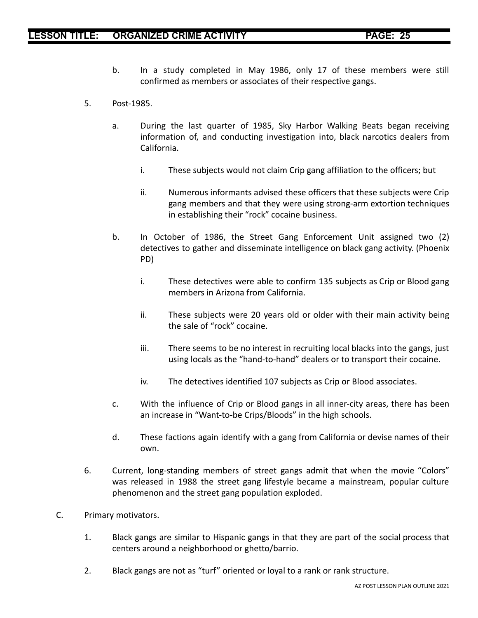- b. In a study completed in May 1986, only 17 of these members were still confirmed as members or associates of their respective gangs.
- 5. Post-1985.
	- a. During the last quarter of 1985, Sky Harbor Walking Beats began receiving information of, and conducting investigation into, black narcotics dealers from California.
		- i. These subjects would not claim Crip gang affiliation to the officers; but
		- ii. Numerous informants advised these officers that these subjects were Crip gang members and that they were using strong-arm extortion techniques in establishing their "rock" cocaine business.
	- b. In October of 1986, the Street Gang Enforcement Unit assigned two (2) detectives to gather and disseminate intelligence on black gang activity. (Phoenix PD)
		- i. These detectives were able to confirm 135 subjects as Crip or Blood gang members in Arizona from California.
		- ii. These subjects were 20 years old or older with their main activity being the sale of "rock" cocaine.
		- iii. There seems to be no interest in recruiting local blacks into the gangs, just using locals as the "hand-to-hand" dealers or to transport their cocaine.
		- iv. The detectives identified 107 subjects as Crip or Blood associates.
	- c. With the influence of Crip or Blood gangs in all inner-city areas, there has been an increase in "Want-to-be Crips/Bloods" in the high schools.
	- d. These factions again identify with a gang from California or devise names of their own.
- 6. Current, long-standing members of street gangs admit that when the movie "Colors" was released in 1988 the street gang lifestyle became a mainstream, popular culture phenomenon and the street gang population exploded.
- C. Primary motivators.
	- 1. Black gangs are similar to Hispanic gangs in that they are part of the social process that centers around a neighborhood or ghetto/barrio.
	- 2. Black gangs are not as "turf" oriented or loyal to a rank or rank structure.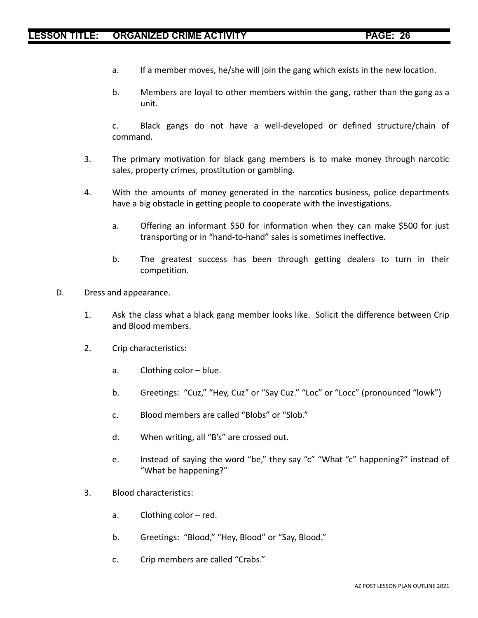- a. If a member moves, he/she will join the gang which exists in the new location.
- b. Members are loyal to other members within the gang, rather than the gang as a unit.

c. Black gangs do not have a well-developed or defined structure/chain of command.

- 3. The primary motivation for black gang members is to make money through narcotic sales, property crimes, prostitution or gambling.
- 4. With the amounts of money generated in the narcotics business, police departments have a big obstacle in getting people to cooperate with the investigations.
	- a. Offering an informant \$50 for information when they can make \$500 for just transporting or in "hand-to-hand" sales is sometimes ineffective.
	- b. The greatest success has been through getting dealers to turn in their competition.
- D. Dress and appearance.
	- 1. Ask the class what a black gang member looks like. Solicit the difference between Crip and Blood members.
	- 2. Crip characteristics:
		- a. Clothing color blue.
		- b. Greetings: "Cuz," "Hey, Cuz" or "Say Cuz." "Loc" or "Locc" (pronounced "lowk")
		- c. Blood members are called "Blobs" or "Slob."
		- d. When writing, all "B's" are crossed out.
		- e. Instead of saying the word "be," they say "c" "What "c" happening?" instead of "What be happening?"
	- 3. Blood characteristics:
		- a. Clothing color red.
		- b. Greetings: "Blood," "Hey, Blood" or "Say, Blood."
		- c. Crip members are called "Crabs."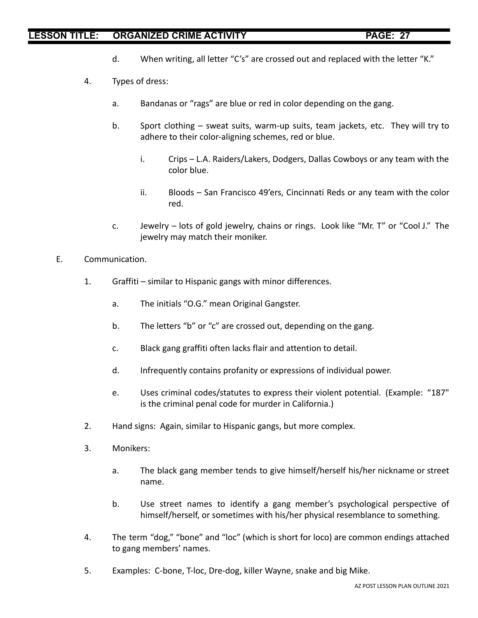- d. When writing, all letter "C's" are crossed out and replaced with the letter "K."
- 4. Types of dress:
	- a. Bandanas or "rags" are blue or red in color depending on the gang.
	- b. Sport clothing sweat suits, warm-up suits, team jackets, etc. They will try to adhere to their color-aligning schemes, red or blue.
		- i. Crips L.A. Raiders/Lakers, Dodgers, Dallas Cowboys or any team with the color blue.
		- ii. Bloods San Francisco 49'ers, Cincinnati Reds or any team with the color red.
	- c. Jewelry lots of gold jewelry, chains or rings. Look like "Mr. T" or "Cool J." The jewelry may match their moniker.
- E. Communication.
	- 1. Graffiti similar to Hispanic gangs with minor differences.
		- a. The initials "O.G." mean Original Gangster.
		- b. The letters "b" or "c" are crossed out, depending on the gang.
		- c. Black gang graffiti often lacks flair and attention to detail.
		- d. Infrequently contains profanity or expressions of individual power.
		- e. Uses criminal codes/statutes to express their violent potential. (Example: "187" is the criminal penal code for murder in California.)
	- 2. Hand signs: Again, similar to Hispanic gangs, but more complex.
	- 3. Monikers:
		- a. The black gang member tends to give himself/herself his/her nickname or street name.
		- b. Use street names to identify a gang member's psychological perspective of himself/herself, or sometimes with his/her physical resemblance to something.
	- 4. The term "dog," "bone" and "loc" (which is short for loco) are common endings attached to gang members' names.
	- 5. Examples: C-bone, T-loc, Dre-dog, killer Wayne, snake and big Mike.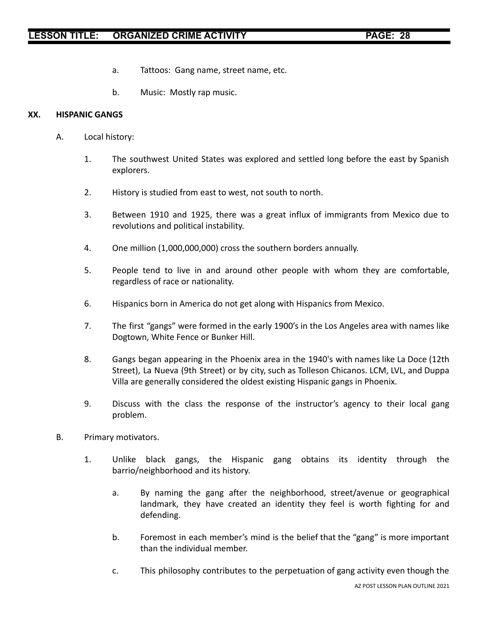- a. Tattoos: Gang name, street name, etc.
- b. Music: Mostly rap music.

### **XX. HISPANIC GANGS**

- A. Local history:
	- 1. The southwest United States was explored and settled long before the east by Spanish explorers.
	- 2. History is studied from east to west, not south to north.
	- 3. Between 1910 and 1925, there was a great influx of immigrants from Mexico due to revolutions and political instability.
	- 4. One million (1,000,000,000) cross the southern borders annually.
	- 5. People tend to live in and around other people with whom they are comfortable, regardless of race or nationality.
	- 6. Hispanics born in America do not get along with Hispanics from Mexico.
	- 7. The first "gangs" were formed in the early 1900's in the Los Angeles area with names like Dogtown, White Fence or Bunker Hill.
	- 8. Gangs began appearing in the Phoenix area in the 1940's with names like La Doce (12th Street), La Nueva (9th Street) or by city, such as Tolleson Chicanos. LCM, LVL, and Duppa Villa are generally considered the oldest existing Hispanic gangs in Phoenix.
	- 9. Discuss with the class the response of the instructor's agency to their local gang problem.
- B. Primary motivators.
	- 1. Unlike black gangs, the Hispanic gang obtains its identity through the barrio/neighborhood and its history.
		- a. By naming the gang after the neighborhood, street/avenue or geographical landmark, they have created an identity they feel is worth fighting for and defending.
		- b. Foremost in each member's mind is the belief that the "gang" is more important than the individual member.
		- c. This philosophy contributes to the perpetuation of gang activity even though the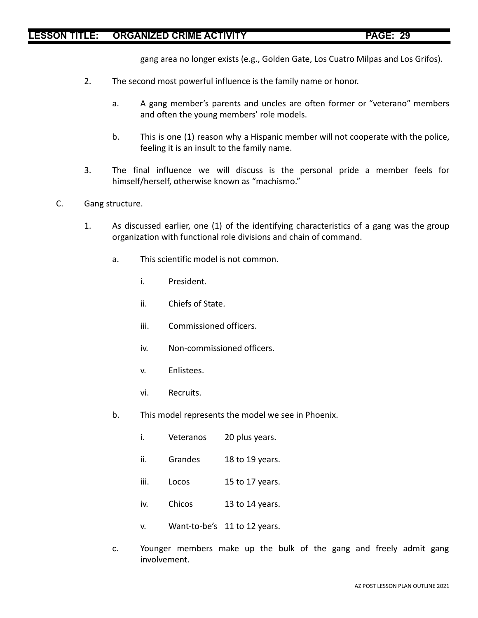gang area no longer exists (e.g., Golden Gate, Los Cuatro Milpas and Los Grifos).

- 2. The second most powerful influence is the family name or honor.
	- a. A gang member's parents and uncles are often former or "veterano" members and often the young members' role models.
	- b. This is one (1) reason why a Hispanic member will not cooperate with the police, feeling it is an insult to the family name.
- 3. The final influence we will discuss is the personal pride a member feels for himself/herself, otherwise known as "machismo."
- C. Gang structure.
	- 1. As discussed earlier, one (1) of the identifying characteristics of a gang was the group organization with functional role divisions and chain of command.
		- a. This scientific model is not common.
			- i. President.
			- ii. Chiefs of State.
			- iii. Commissioned officers.
			- iv. Non-commissioned officers.
			- v. Enlistees.
			- vi. Recruits.
		- b. This model represents the model we see in Phoenix.
			- i. Veteranos 20 plus years.
			- ii. Grandes 18 to 19 years.
			- iii. Locos 15 to 17 years.
			- iv. Chicos 13 to 14 years.
			- v. Want-to-be's 11 to 12 years.
		- c. Younger members make up the bulk of the gang and freely admit gang involvement.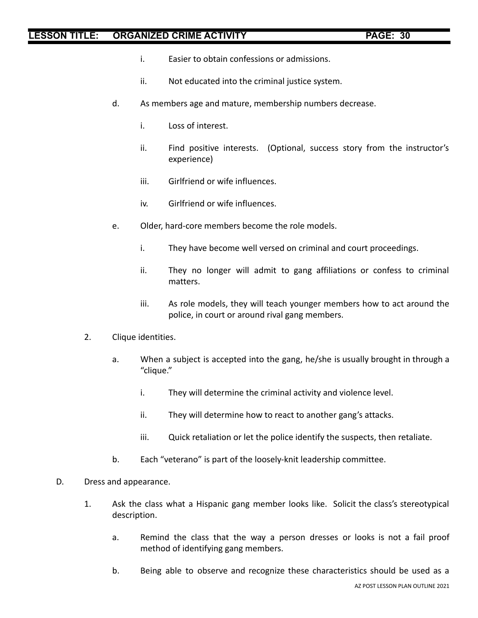- i. Easier to obtain confessions or admissions.
- ii. Not educated into the criminal justice system.
- d. As members age and mature, membership numbers decrease.
	- i. Loss of interest.
	- ii. Find positive interests. (Optional, success story from the instructor's experience)
	- iii. Girlfriend or wife influences.
	- iv. Girlfriend or wife influences.
- e. Older, hard-core members become the role models.
	- i. They have become well versed on criminal and court proceedings.
	- ii. They no longer will admit to gang affiliations or confess to criminal matters.
	- iii. As role models, they will teach younger members how to act around the police, in court or around rival gang members.
- 2. Clique identities.
	- a. When a subject is accepted into the gang, he/she is usually brought in through a "clique."
		- i. They will determine the criminal activity and violence level.
		- ii. They will determine how to react to another gang's attacks.
		- iii. Quick retaliation or let the police identify the suspects, then retaliate.
	- b. Each "veterano" is part of the loosely-knit leadership committee.
- D. Dress and appearance.
	- 1. Ask the class what a Hispanic gang member looks like. Solicit the class's stereotypical description.
		- a. Remind the class that the way a person dresses or looks is not a fail proof method of identifying gang members.
		- b. Being able to observe and recognize these characteristics should be used as a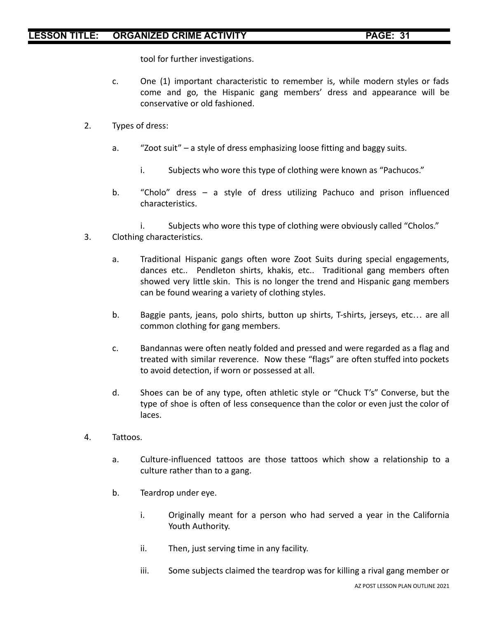tool for further investigations.

- c. One (1) important characteristic to remember is, while modern styles or fads come and go, the Hispanic gang members' dress and appearance will be conservative or old fashioned.
- 2. Types of dress:
	- a. "Zoot suit" a style of dress emphasizing loose fitting and baggy suits.
		- i. Subjects who wore this type of clothing were known as "Pachucos."
	- b. "Cholo" dress a style of dress utilizing Pachuco and prison influenced characteristics.
	- i. Subjects who wore this type of clothing were obviously called "Cholos."
- 3. Clothing characteristics.
	- a. Traditional Hispanic gangs often wore Zoot Suits during special engagements, dances etc.. Pendleton shirts, khakis, etc.. Traditional gang members often showed very little skin. This is no longer the trend and Hispanic gang members can be found wearing a variety of clothing styles.
	- b. Baggie pants, jeans, polo shirts, button up shirts, T-shirts, jerseys, etc… are all common clothing for gang members.
	- c. Bandannas were often neatly folded and pressed and were regarded as a flag and treated with similar reverence. Now these "flags" are often stuffed into pockets to avoid detection, if worn or possessed at all.
	- d. Shoes can be of any type, often athletic style or "Chuck T's" Converse, but the type of shoe is often of less consequence than the color or even just the color of laces.
- 4. Tattoos.
	- a. Culture-influenced tattoos are those tattoos which show a relationship to a culture rather than to a gang.
	- b. Teardrop under eye.
		- i. Originally meant for a person who had served a year in the California Youth Authority.
		- ii. Then, just serving time in any facility.
		- iii. Some subjects claimed the teardrop was for killing a rival gang member or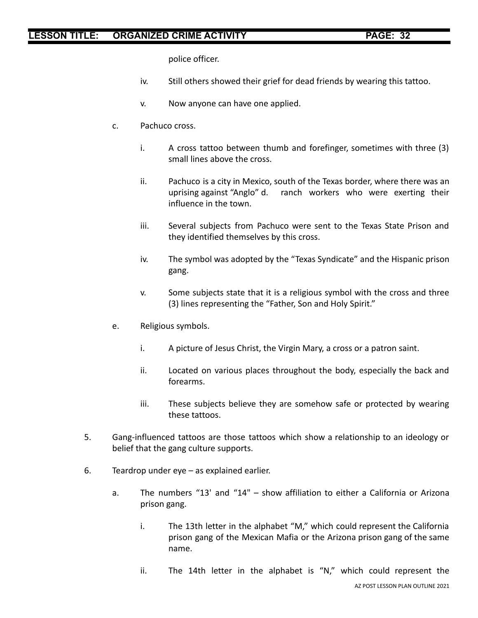police officer.

- iv. Still others showed their grief for dead friends by wearing this tattoo.
- v. Now anyone can have one applied.
- c. Pachuco cross.
	- i. A cross tattoo between thumb and forefinger, sometimes with three (3) small lines above the cross.
	- ii. Pachuco is a city in Mexico, south of the Texas border, where there was an uprising against "Anglo" d. ranch workers who were exerting their influence in the town.
	- iii. Several subjects from Pachuco were sent to the Texas State Prison and they identified themselves by this cross.
	- iv. The symbol was adopted by the "Texas Syndicate" and the Hispanic prison gang.
	- v. Some subjects state that it is a religious symbol with the cross and three (3) lines representing the "Father, Son and Holy Spirit."
- e. Religious symbols.
	- i. A picture of Jesus Christ, the Virgin Mary, a cross or a patron saint.
	- ii. Located on various places throughout the body, especially the back and forearms.
	- iii. These subjects believe they are somehow safe or protected by wearing these tattoos.
- 5. Gang-influenced tattoos are those tattoos which show a relationship to an ideology or belief that the gang culture supports.
- 6. Teardrop under eye as explained earlier.
	- a. The numbers "13' and "14" show affiliation to either a California or Arizona prison gang.
		- i. The 13th letter in the alphabet "M," which could represent the California prison gang of the Mexican Mafia or the Arizona prison gang of the same name.
		- ii. The 14th letter in the alphabet is "N," which could represent the AZ POST LESSON PLAN OUTLINE 2021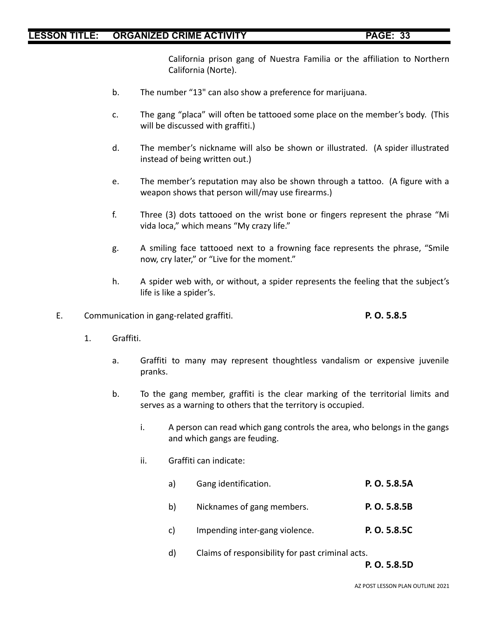California prison gang of Nuestra Familia or the affiliation to Northern California (Norte).

- b. The number "13" can also show a preference for marijuana.
- c. The gang "placa" will often be tattooed some place on the member's body. (This will be discussed with graffiti.)
- d. The member's nickname will also be shown or illustrated. (A spider illustrated instead of being written out.)
- e. The member's reputation may also be shown through a tattoo. (A figure with a weapon shows that person will/may use firearms.)
- f. Three (3) dots tattooed on the wrist bone or fingers represent the phrase "Mi vida loca," which means "My crazy life."
- g. A smiling face tattooed next to a frowning face represents the phrase, "Smile now, cry later," or "Live for the moment."
- h. A spider web with, or without, a spider represents the feeling that the subject's life is like a spider's.
- E. Communication in gang-related graffiti. **P. O. 5.8.5**

- 1. Graffiti.
	- a. Graffiti to many may represent thoughtless vandalism or expensive juvenile pranks.
	- b. To the gang member, graffiti is the clear marking of the territorial limits and serves as a warning to others that the territory is occupied.
		- i. A person can read which gang controls the area, who belongs in the gangs and which gangs are feuding.
		- ii. Graffiti can indicate:
			- a) Gang identification. **P. O. 5.8.5A**
			- b) Nicknames of gang members. **P. O. 5.8.5B**
			- c) Impending inter-gang violence. **P. O. 5.8.5C**
			- d) Claims of responsibility for past criminal acts.

**P. O. 5.8.5D**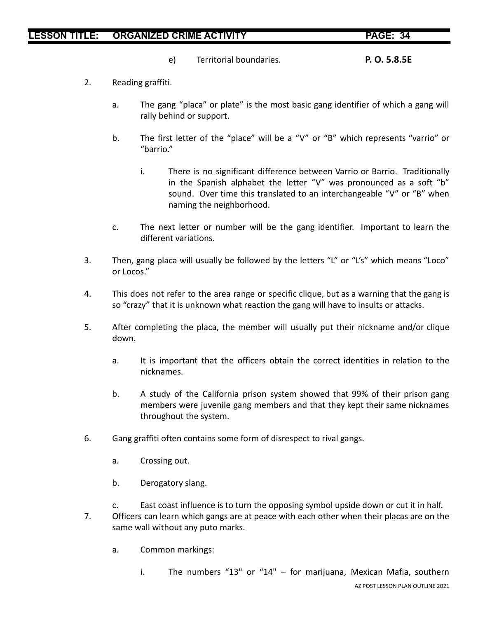e) Territorial boundaries. **P. O. 5.8.5E**

- 2. Reading graffiti.
	- a. The gang "placa" or plate" is the most basic gang identifier of which a gang will rally behind or support.
	- b. The first letter of the "place" will be a "V" or "B" which represents "varrio" or "barrio."
		- i. There is no significant difference between Varrio or Barrio. Traditionally in the Spanish alphabet the letter "V" was pronounced as a soft "b" sound. Over time this translated to an interchangeable "V" or "B" when naming the neighborhood.
	- c. The next letter or number will be the gang identifier. Important to learn the different variations.
- 3. Then, gang placa will usually be followed by the letters "L" or "L's" which means "Loco" or Locos."
- 4. This does not refer to the area range or specific clique, but as a warning that the gang is so "crazy" that it is unknown what reaction the gang will have to insults or attacks.
- 5. After completing the placa, the member will usually put their nickname and/or clique down.
	- a. It is important that the officers obtain the correct identities in relation to the nicknames.
	- b. A study of the California prison system showed that 99% of their prison gang members were juvenile gang members and that they kept their same nicknames throughout the system.
- 6. Gang graffiti often contains some form of disrespect to rival gangs.
	- a. Crossing out.
	- b. Derogatory slang.
- c. East coast influence is to turn the opposing symbol upside down or cut it in half. 7. Officers can learn which gangs are at peace with each other when their placas are on the same wall without any puto marks.
	- a. Common markings:
		- i. The numbers "13" or "14" for marijuana, Mexican Mafia, southern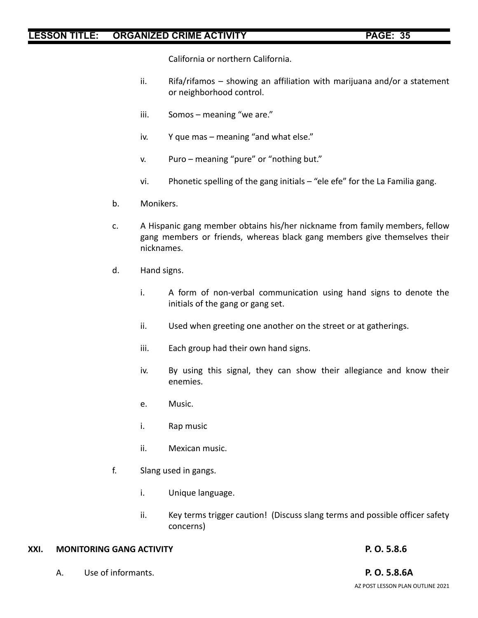California or northern California.

- ii. Rifa/rifamos showing an affiliation with marijuana and/or a statement or neighborhood control.
- iii. Somos meaning "we are."
- iv. Y que mas meaning "and what else."
- v. Puro meaning "pure" or "nothing but."
- vi. Phonetic spelling of the gang initials "ele efe" for the La Familia gang.
- b. Monikers.
- c. A Hispanic gang member obtains his/her nickname from family members, fellow gang members or friends, whereas black gang members give themselves their nicknames.
- d. Hand signs.
	- i. A form of non-verbal communication using hand signs to denote the initials of the gang or gang set.
	- ii. Used when greeting one another on the street or at gatherings.
	- iii. Each group had their own hand signs.
	- iv. By using this signal, they can show their allegiance and know their enemies.
	- e. Music.
	- i. Rap music
	- ii. Mexican music.
- f. Slang used in gangs.
	- i. Unique language.
	- ii. Key terms trigger caution! (Discuss slang terms and possible officer safety concerns)

### **XXI. MONITORING GANG ACTIVITY P. O. 5.8.6**

A. Use of informants. **P. O. 5.8.6A**